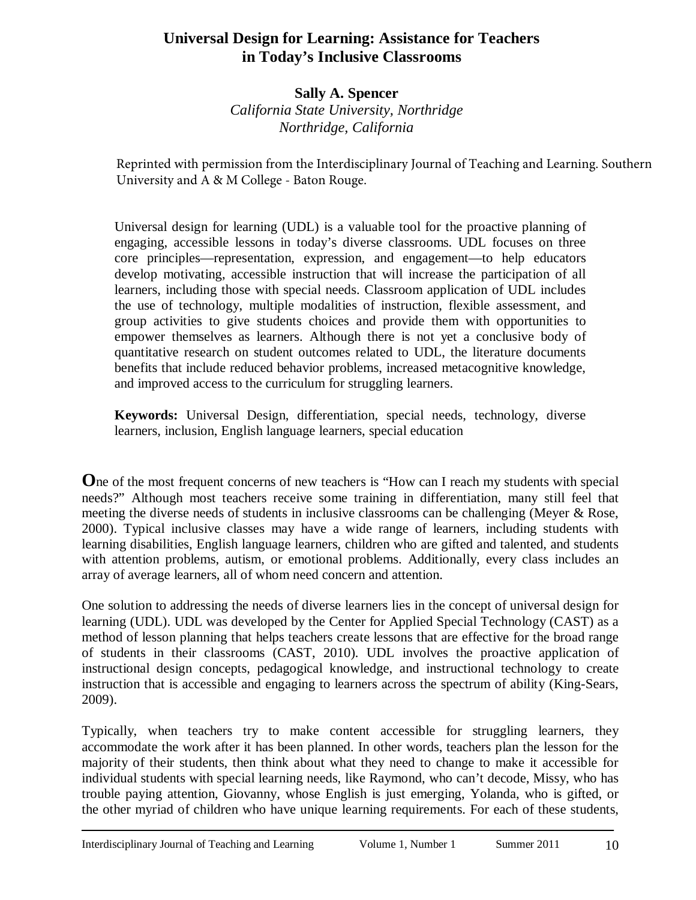# **Universal Design for Learning: Assistance for Teachers in Today's Inclusive Classrooms**

**Sally A. Spencer**  *California State University, Northridge Northridge, California* 

Reprinted with permission from the Interdisciplinary Journal of Teaching and Learning. Southern University and A & M College - Baton Rouge.

Universal design for learning (UDL) is a valuable tool for the proactive planning of engaging, accessible lessons in today's diverse classrooms. UDL focuses on three core principles—representation, expression, and engagement—to help educators develop motivating, accessible instruction that will increase the participation of all learners, including those with special needs. Classroom application of UDL includes the use of technology, multiple modalities of instruction, flexible assessment, and group activities to give students choices and provide them with opportunities to empower themselves as learners. Although there is not yet a conclusive body of quantitative research on student outcomes related to UDL, the literature documents benefits that include reduced behavior problems, increased metacognitive knowledge, and improved access to the curriculum for struggling learners.

**Keywords:** Universal Design, differentiation, special needs, technology, diverse learners, inclusion, English language learners, special education

**O**ne of the most frequent concerns of new teachers is "How can I reach my students with special needs?" Although most teachers receive some training in differentiation, many still feel that meeting the diverse needs of students in inclusive classrooms can be challenging (Meyer & Rose, 2000). Typical inclusive classes may have a wide range of learners, including students with learning disabilities, English language learners, children who are gifted and talented, and students with attention problems, autism, or emotional problems. Additionally, every class includes an array of average learners, all of whom need concern and attention.

One solution to addressing the needs of diverse learners lies in the concept of universal design for learning (UDL). UDL was developed by the Center for Applied Special Technology (CAST) as a method of lesson planning that helps teachers create lessons that are effective for the broad range of students in their classrooms (CAST, 2010)*.* UDL involves the proactive application of instructional design concepts, pedagogical knowledge, and instructional technology to create instruction that is accessible and engaging to learners across the spectrum of ability (King-Sears, 2009).

Typically, when teachers try to make content accessible for struggling learners, they accommodate the work after it has been planned. In other words, teachers plan the lesson for the majority of their students, then think about what they need to change to make it accessible for individual students with special learning needs, like Raymond, who can't decode, Missy, who has trouble paying attention, Giovanny, whose English is just emerging, Yolanda, who is gifted, or the other myriad of children who have unique learning requirements. For each of these students,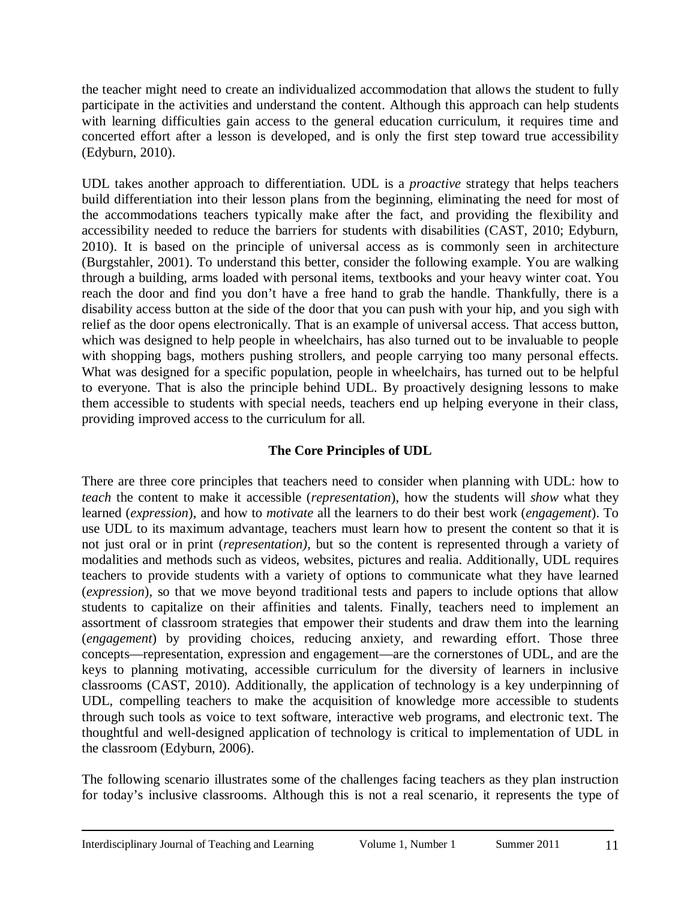the teacher might need to create an individualized accommodation that allows the student to fully participate in the activities and understand the content. Although this approach can help students with learning difficulties gain access to the general education curriculum, it requires time and concerted effort after a lesson is developed, and is only the first step toward true accessibility (Edyburn, 2010).

UDL takes another approach to differentiation. UDL is a *proactive* strategy that helps teachers build differentiation into their lesson plans from the beginning, eliminating the need for most of the accommodations teachers typically make after the fact, and providing the flexibility and accessibility needed to reduce the barriers for students with disabilities (CAST, 2010; Edyburn, 2010). It is based on the principle of universal access as is commonly seen in architecture (Burgstahler, 2001). To understand this better, consider the following example. You are walking through a building, arms loaded with personal items, textbooks and your heavy winter coat. You reach the door and find you don't have a free hand to grab the handle. Thankfully, there is a disability access button at the side of the door that you can push with your hip, and you sigh with relief as the door opens electronically. That is an example of universal access. That access button, which was designed to help people in wheelchairs, has also turned out to be invaluable to people with shopping bags, mothers pushing strollers, and people carrying too many personal effects. What was designed for a specific population, people in wheelchairs, has turned out to be helpful to everyone. That is also the principle behind UDL. By proactively designing lessons to make them accessible to students with special needs, teachers end up helping everyone in their class, providing improved access to the curriculum for all.

# **The Core Principles of UDL**

There are three core principles that teachers need to consider when planning with UDL: how to *teach* the content to make it accessible (*representation*), how the students will *show* what they learned (*expression*), and how to *motivate* all the learners to do their best work (*engagement*). To use UDL to its maximum advantage, teachers must learn how to present the content so that it is not just oral or in print (*representation)*, but so the content is represented through a variety of modalities and methods such as videos, websites, pictures and realia. Additionally, UDL requires teachers to provide students with a variety of options to communicate what they have learned (*expression*), so that we move beyond traditional tests and papers to include options that allow students to capitalize on their affinities and talents. Finally, teachers need to implement an assortment of classroom strategies that empower their students and draw them into the learning (*engagement*) by providing choices, reducing anxiety, and rewarding effort. Those three concepts—representation, expression and engagement—are the cornerstones of UDL, and are the keys to planning motivating, accessible curriculum for the diversity of learners in inclusive classrooms (CAST, 2010). Additionally, the application of technology is a key underpinning of UDL, compelling teachers to make the acquisition of knowledge more accessible to students through such tools as voice to text software, interactive web programs, and electronic text. The thoughtful and well-designed application of technology is critical to implementation of UDL in the classroom (Edyburn, 2006).

The following scenario illustrates some of the challenges facing teachers as they plan instruction for today's inclusive classrooms. Although this is not a real scenario, it represents the type of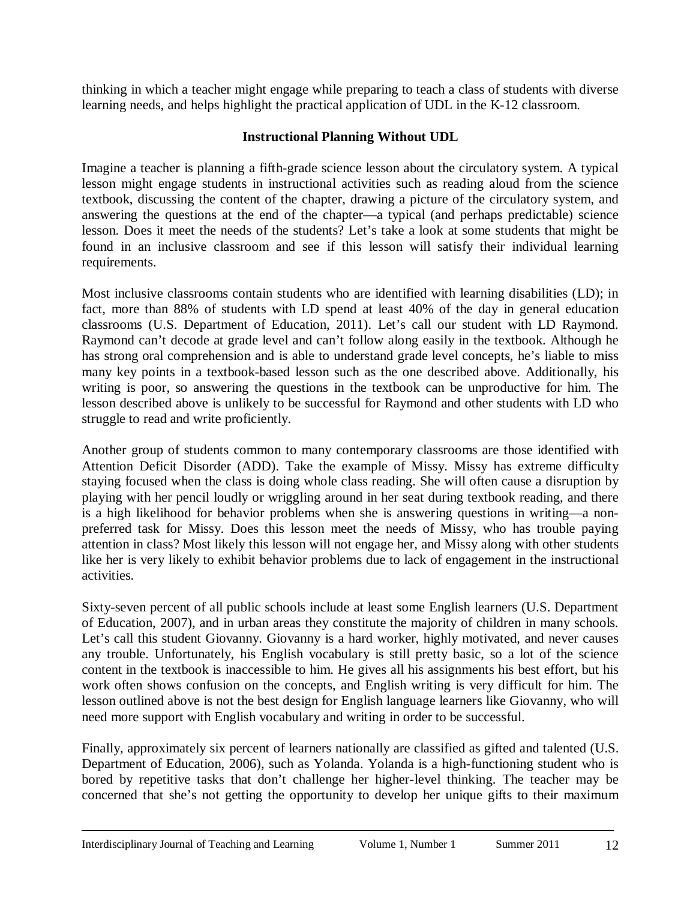thinking in which a teacher might engage while preparing to teach a class of students with diverse learning needs, and helps highlight the practical application of UDL in the K-12 classroom.

# **Instructional Planning Without UDL**

Imagine a teacher is planning a fifth-grade science lesson about the circulatory system. A typical lesson might engage students in instructional activities such as reading aloud from the science textbook, discussing the content of the chapter, drawing a picture of the circulatory system, and answering the questions at the end of the chapter—a typical (and perhaps predictable) science lesson. Does it meet the needs of the students? Let's take a look at some students that might be found in an inclusive classroom and see if this lesson will satisfy their individual learning requirements.

Most inclusive classrooms contain students who are identified with learning disabilities (LD); in fact, more than 88% of students with LD spend at least 40% of the day in general education classrooms (U.S. Department of Education, 2011). Let's call our student with LD Raymond. Raymond can't decode at grade level and can't follow along easily in the textbook. Although he has strong oral comprehension and is able to understand grade level concepts, he's liable to miss many key points in a textbook-based lesson such as the one described above. Additionally, his writing is poor, so answering the questions in the textbook can be unproductive for him. The lesson described above is unlikely to be successful for Raymond and other students with LD who struggle to read and write proficiently.

Another group of students common to many contemporary classrooms are those identified with Attention Deficit Disorder (ADD). Take the example of Missy. Missy has extreme difficulty staying focused when the class is doing whole class reading. She will often cause a disruption by playing with her pencil loudly or wriggling around in her seat during textbook reading, and there is a high likelihood for behavior problems when she is answering questions in writing—a nonpreferred task for Missy. Does this lesson meet the needs of Missy, who has trouble paying attention in class? Most likely this lesson will not engage her, and Missy along with other students like her is very likely to exhibit behavior problems due to lack of engagement in the instructional activities.

Sixty-seven percent of all public schools include at least some English learners (U.S. Department of Education, 2007), and in urban areas they constitute the majority of children in many schools. Let's call this student Giovanny. Giovanny is a hard worker, highly motivated, and never causes any trouble. Unfortunately, his English vocabulary is still pretty basic, so a lot of the science content in the textbook is inaccessible to him. He gives all his assignments his best effort, but his work often shows confusion on the concepts, and English writing is very difficult for him. The lesson outlined above is not the best design for English language learners like Giovanny, who will need more support with English vocabulary and writing in order to be successful.

Finally, approximately six percent of learners nationally are classified as gifted and talented (U.S. Department of Education, 2006), such as Yolanda. Yolanda is a high-functioning student who is bored by repetitive tasks that don't challenge her higher-level thinking. The teacher may be concerned that she's not getting the opportunity to develop her unique gifts to their maximum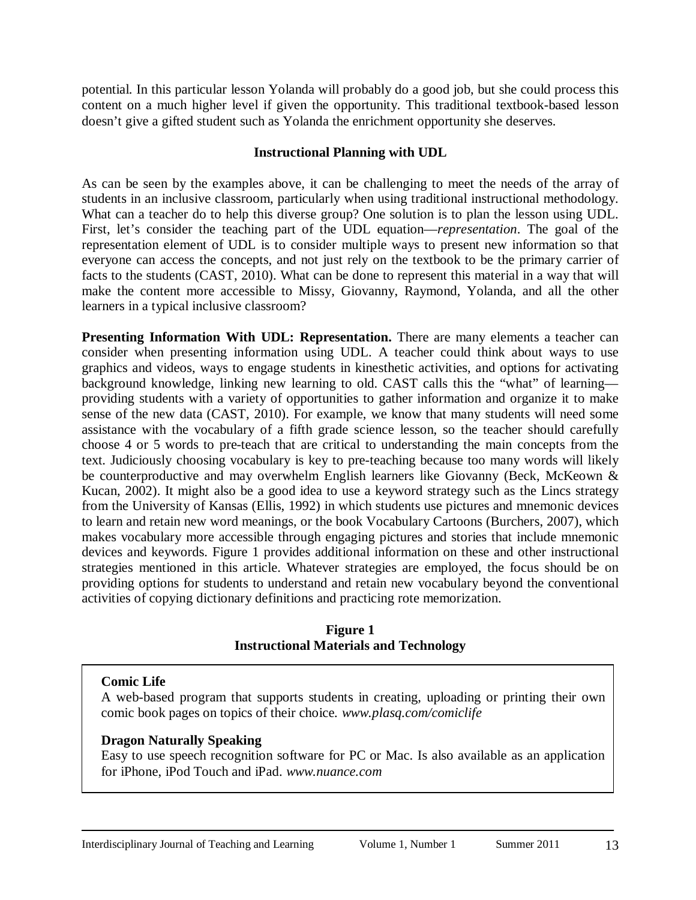potential. In this particular lesson Yolanda will probably do a good job, but she could process this content on a much higher level if given the opportunity. This traditional textbook-based lesson doesn't give a gifted student such as Yolanda the enrichment opportunity she deserves.

### **Instructional Planning with UDL**

As can be seen by the examples above, it can be challenging to meet the needs of the array of students in an inclusive classroom, particularly when using traditional instructional methodology. What can a teacher do to help this diverse group? One solution is to plan the lesson using UDL. First, let's consider the teaching part of the UDL equation—*representation*. The goal of the representation element of UDL is to consider multiple ways to present new information so that everyone can access the concepts, and not just rely on the textbook to be the primary carrier of facts to the students (CAST, 2010). What can be done to represent this material in a way that will make the content more accessible to Missy, Giovanny, Raymond, Yolanda, and all the other learners in a typical inclusive classroom?

**Presenting Information With UDL: Representation.** There are many elements a teacher can consider when presenting information using UDL. A teacher could think about ways to use graphics and videos, ways to engage students in kinesthetic activities, and options for activating background knowledge, linking new learning to old. CAST calls this the "what" of learning providing students with a variety of opportunities to gather information and organize it to make sense of the new data (CAST, 2010). For example, we know that many students will need some assistance with the vocabulary of a fifth grade science lesson, so the teacher should carefully choose 4 or 5 words to pre-teach that are critical to understanding the main concepts from the text. Judiciously choosing vocabulary is key to pre-teaching because too many words will likely be counterproductive and may overwhelm English learners like Giovanny (Beck, McKeown & Kucan, 2002). It might also be a good idea to use a keyword strategy such as the Lincs strategy from the University of Kansas (Ellis, 1992) in which students use pictures and mnemonic devices to learn and retain new word meanings, or the book Vocabulary Cartoons (Burchers, 2007), which makes vocabulary more accessible through engaging pictures and stories that include mnemonic devices and keywords. Figure 1 provides additional information on these and other instructional strategies mentioned in this article. Whatever strategies are employed, the focus should be on providing options for students to understand and retain new vocabulary beyond the conventional activities of copying dictionary definitions and practicing rote memorization.

#### **Figure 1 Instructional Materials and Technology**

#### **Comic Life**

A web-based program that supports students in creating, uploading or printing their own comic book pages on topics of their choice*. [www.plasq.com/comiclife](http://www.plasq.com/comiclife)*

# **Dragon Naturally Speaking**

Easy to use speech recognition software for PC or Mac. Is also available as an application for iPhone, iPod Touch and iPad. *[www.nuance.com](http://www.nuance.com/)*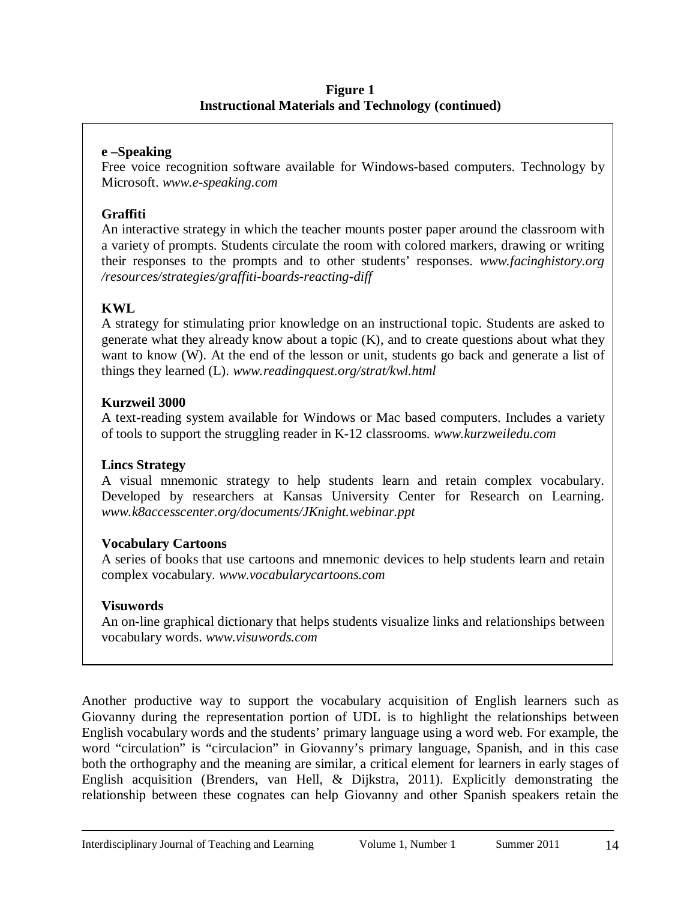#### **Figure 1 Instructional Materials and Technology (continued)**

### **e –Speaking**

Free voice recognition software available for Windows-based computers. Technology by Microsoft. *[www.e-speaking.com](http://www.e-speaking.com/)*

### **Graffiti**

An interactive strategy in which the teacher mounts poster paper around the classroom with a variety of prompts. Students circulate the room with colored markers, drawing or writing their responses to the prompts and to other students' responses. *[www.facinghistory.org](http://www.facinghistory.org/resources/strategies/graffiti-boards-reacting-diff)  [/resources/strategies/graffiti-boards-reacting-diff](http://www.facinghistory.org/resources/strategies/graffiti-boards-reacting-diff)*

### **KWL**

A strategy for stimulating prior knowledge on an instructional topic. Students are asked to generate what they already know about a topic (K), and to create questions about what they want to know (W). At the end of the lesson or unit, students go back and generate a list of things they learned (L). *[www.readingquest.org/strat/kwl.html](http://www.readingquest.org/strat/kwl.html)*

#### **Kurzweil 3000**

A text-reading system available for Windows or Mac based computers. Includes a variety of tools to support the struggling reader in K-12 classrooms. *[www.kurzweiledu.com](http://www.kurzweiledu.com/)*

#### **Lincs Strategy**

A visual mnemonic strategy to help students learn and retain complex vocabulary. Developed by researchers at Kansas University Center for Research on Learning. *[www.k8accesscenter.org/documents/JKnight.webinar.ppt](http://www.k8accesscenter.org/documents/JKnight.webinar.ppt)*

# **Vocabulary Cartoons**

A series of books that use cartoons and mnemonic devices to help students learn and retain complex vocabulary. *[www.vocabularycartoons.com](http://www.vocabularycartoons.com/)*

#### **Visuwords**

An on-line graphical dictionary that helps students visualize links and relationships between vocabulary words. *[www.visuwords.com](http://www.visuwords.com/)*

Another productive way to support the vocabulary acquisition of English learners such as Giovanny during the representation portion of UDL is to highlight the relationships between English vocabulary words and the students' primary language using a word web. For example, the word "circulation" is "circulacion" in Giovanny's primary language, Spanish, and in this case both the orthography and the meaning are similar, a critical element for learners in early stages of English acquisition (Brenders, van Hell, & Dijkstra, 2011). Explicitly demonstrating the relationship between these cognates can help Giovanny and other Spanish speakers retain the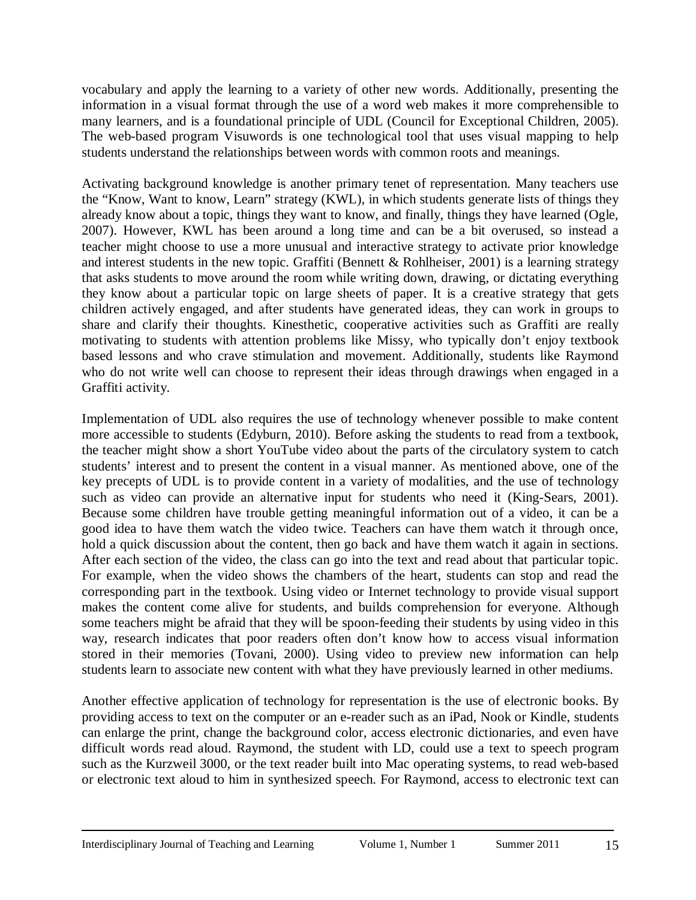vocabulary and apply the learning to a variety of other new words. Additionally, presenting the information in a visual format through the use of a word web makes it more comprehensible to many learners, and is a foundational principle of UDL (Council for Exceptional Children, 2005). The web-based program Visuwords is one technological tool that uses visual mapping to help students understand the relationships between words with common roots and meanings.

Activating background knowledge is another primary tenet of representation. Many teachers use the "Know, Want to know, Learn" strategy (KWL), in which students generate lists of things they already know about a topic, things they want to know, and finally, things they have learned (Ogle, 2007). However, KWL has been around a long time and can be a bit overused, so instead a teacher might choose to use a more unusual and interactive strategy to activate prior knowledge and interest students in the new topic. Graffiti (Bennett & Rohlheiser, 2001) is a learning strategy that asks students to move around the room while writing down, drawing, or dictating everything they know about a particular topic on large sheets of paper. It is a creative strategy that gets children actively engaged, and after students have generated ideas, they can work in groups to share and clarify their thoughts. Kinesthetic, cooperative activities such as Graffiti are really motivating to students with attention problems like Missy, who typically don't enjoy textbook based lessons and who crave stimulation and movement. Additionally, students like Raymond who do not write well can choose to represent their ideas through drawings when engaged in a Graffiti activity.

Implementation of UDL also requires the use of technology whenever possible to make content more accessible to students (Edyburn, 2010). Before asking the students to read from a textbook, the teacher might show a short YouTube video about the parts of the circulatory system to catch students' interest and to present the content in a visual manner. As mentioned above, one of the key precepts of UDL is to provide content in a variety of modalities, and the use of technology such as video can provide an alternative input for students who need it (King-Sears, 2001). Because some children have trouble getting meaningful information out of a video, it can be a good idea to have them watch the video twice. Teachers can have them watch it through once, hold a quick discussion about the content, then go back and have them watch it again in sections. After each section of the video, the class can go into the text and read about that particular topic. For example, when the video shows the chambers of the heart, students can stop and read the corresponding part in the textbook. Using video or Internet technology to provide visual support makes the content come alive for students, and builds comprehension for everyone. Although some teachers might be afraid that they will be spoon-feeding their students by using video in this way, research indicates that poor readers often don't know how to access visual information stored in their memories (Tovani, 2000). Using video to preview new information can help students learn to associate new content with what they have previously learned in other mediums.

Another effective application of technology for representation is the use of electronic books. By providing access to text on the computer or an e-reader such as an iPad, Nook or Kindle, students can enlarge the print, change the background color, access electronic dictionaries, and even have difficult words read aloud. Raymond, the student with LD, could use a text to speech program such as the Kurzweil 3000, or the text reader built into Mac operating systems, to read web-based or electronic text aloud to him in synthesized speech. For Raymond, access to electronic text can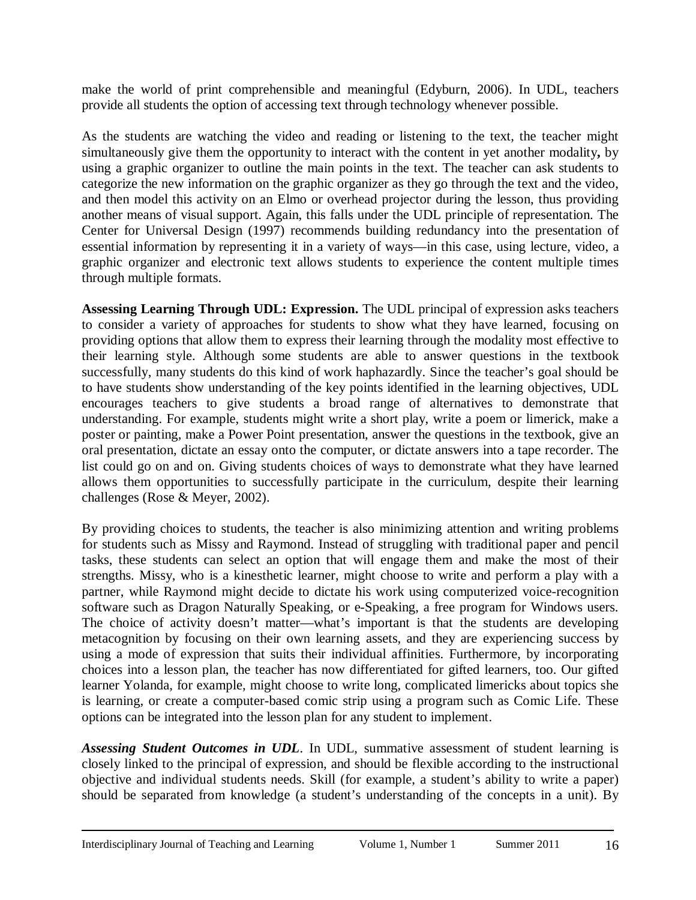make the world of print comprehensible and meaningful (Edyburn, 2006). In UDL, teachers provide all students the option of accessing text through technology whenever possible.

As the students are watching the video and reading or listening to the text, the teacher might simultaneously give them the opportunity to interact with the content in yet another modality**,** by using a graphic organizer to outline the main points in the text. The teacher can ask students to categorize the new information on the graphic organizer as they go through the text and the video, and then model this activity on an Elmo or overhead projector during the lesson, thus providing another means of visual support. Again, this falls under the UDL principle of representation. The Center for Universal Design (1997) recommends building redundancy into the presentation of essential information by representing it in a variety of ways—in this case, using lecture, video, a graphic organizer and electronic text allows students to experience the content multiple times through multiple formats.

**Assessing Learning Through UDL: Expression.** The UDL principal of expression asks teachers to consider a variety of approaches for students to show what they have learned, focusing on providing options that allow them to express their learning through the modality most effective to their learning style. Although some students are able to answer questions in the textbook successfully, many students do this kind of work haphazardly. Since the teacher's goal should be to have students show understanding of the key points identified in the learning objectives, UDL encourages teachers to give students a broad range of alternatives to demonstrate that understanding. For example, students might write a short play, write a poem or limerick, make a poster or painting, make a Power Point presentation, answer the questions in the textbook, give an oral presentation, dictate an essay onto the computer, or dictate answers into a tape recorder. The list could go on and on. Giving students choices of ways to demonstrate what they have learned allows them opportunities to successfully participate in the curriculum, despite their learning challenges (Rose & Meyer, 2002).

By providing choices to students, the teacher is also minimizing attention and writing problems for students such as Missy and Raymond. Instead of struggling with traditional paper and pencil tasks, these students can select an option that will engage them and make the most of their strengths. Missy, who is a kinesthetic learner, might choose to write and perform a play with a partner, while Raymond might decide to dictate his work using computerized voice-recognition software such as Dragon Naturally Speaking, or e-Speaking, a free program for Windows users. The choice of activity doesn't matter—what's important is that the students are developing metacognition by focusing on their own learning assets, and they are experiencing success by using a mode of expression that suits their individual affinities. Furthermore, by incorporating choices into a lesson plan, the teacher has now differentiated for gifted learners, too. Our gifted learner Yolanda, for example, might choose to write long, complicated limericks about topics she is learning, or create a computer-based comic strip using a program such as Comic Life. These options can be integrated into the lesson plan for any student to implement.

*Assessing Student Outcomes in UDL*. In UDL, summative assessment of student learning is closely linked to the principal of expression, and should be flexible according to the instructional objective and individual students needs. Skill (for example, a student's ability to write a paper) should be separated from knowledge (a student's understanding of the concepts in a unit). By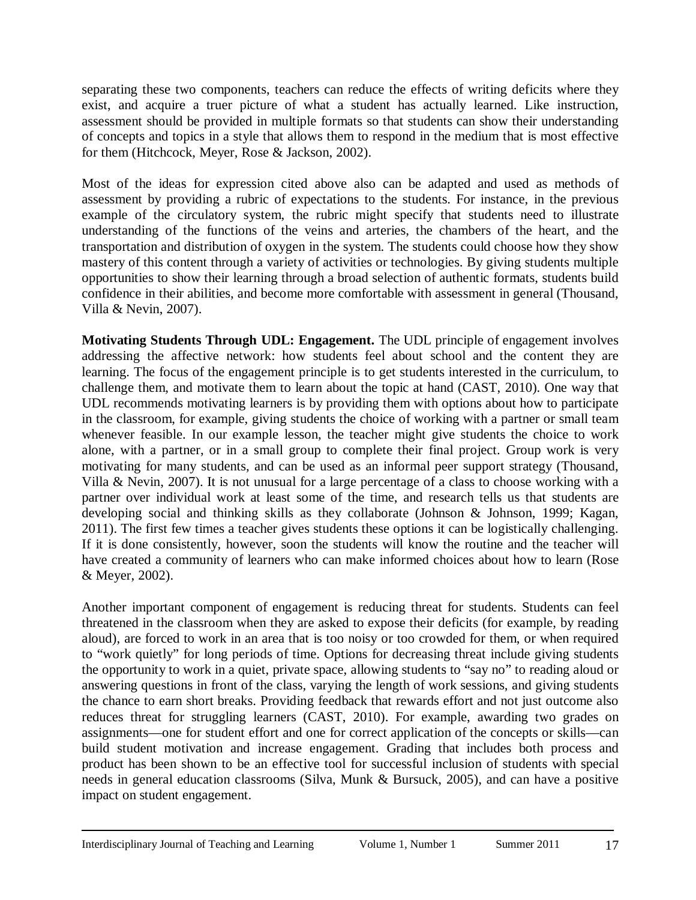separating these two components, teachers can reduce the effects of writing deficits where they exist, and acquire a truer picture of what a student has actually learned. Like instruction, assessment should be provided in multiple formats so that students can show their understanding of concepts and topics in a style that allows them to respond in the medium that is most effective for them (Hitchcock, Meyer, Rose & Jackson, 2002).

Most of the ideas for expression cited above also can be adapted and used as methods of assessment by providing a rubric of expectations to the students. For instance, in the previous example of the circulatory system, the rubric might specify that students need to illustrate understanding of the functions of the veins and arteries, the chambers of the heart, and the transportation and distribution of oxygen in the system. The students could choose how they show mastery of this content through a variety of activities or technologies. By giving students multiple opportunities to show their learning through a broad selection of authentic formats, students build confidence in their abilities, and become more comfortable with assessment in general (Thousand, Villa & Nevin, 2007).

**Motivating Students Through UDL: Engagement.** The UDL principle of engagement involves addressing the affective network: how students feel about school and the content they are learning. The focus of the engagement principle is to get students interested in the curriculum, to challenge them, and motivate them to learn about the topic at hand (CAST, 2010). One way that UDL recommends motivating learners is by providing them with options about how to participate in the classroom, for example, giving students the choice of working with a partner or small team whenever feasible. In our example lesson, the teacher might give students the choice to work alone, with a partner, or in a small group to complete their final project. Group work is very motivating for many students, and can be used as an informal peer support strategy (Thousand, Villa & Nevin, 2007). It is not unusual for a large percentage of a class to choose working with a partner over individual work at least some of the time, and research tells us that students are developing social and thinking skills as they collaborate (Johnson & Johnson, 1999; Kagan, 2011). The first few times a teacher gives students these options it can be logistically challenging. If it is done consistently*,* however, soon the students will know the routine and the teacher will have created a community of learners who can make informed choices about how to learn (Rose & Meyer, 2002).

Another important component of engagement is reducing threat for students. Students can feel threatened in the classroom when they are asked to expose their deficits (for example, by reading aloud), are forced to work in an area that is too noisy or too crowded for them, or when required to "work quietly" for long periods of time. Options for decreasing threat include giving students the opportunity to work in a quiet, private space, allowing students to "say no" to reading aloud or answering questions in front of the class, varying the length of work sessions, and giving students the chance to earn short breaks. Providing feedback that rewards effort and not just outcome also reduces threat for struggling learners (CAST, 2010). For example, awarding two grades on assignments—one for student effort and one for correct application of the concepts or skills—can build student motivation and increase engagement. Grading that includes both process and product has been shown to be an effective tool for successful inclusion of students with special needs in general education classrooms (Silva, Munk & Bursuck, 2005), and can have a positive impact on student engagement.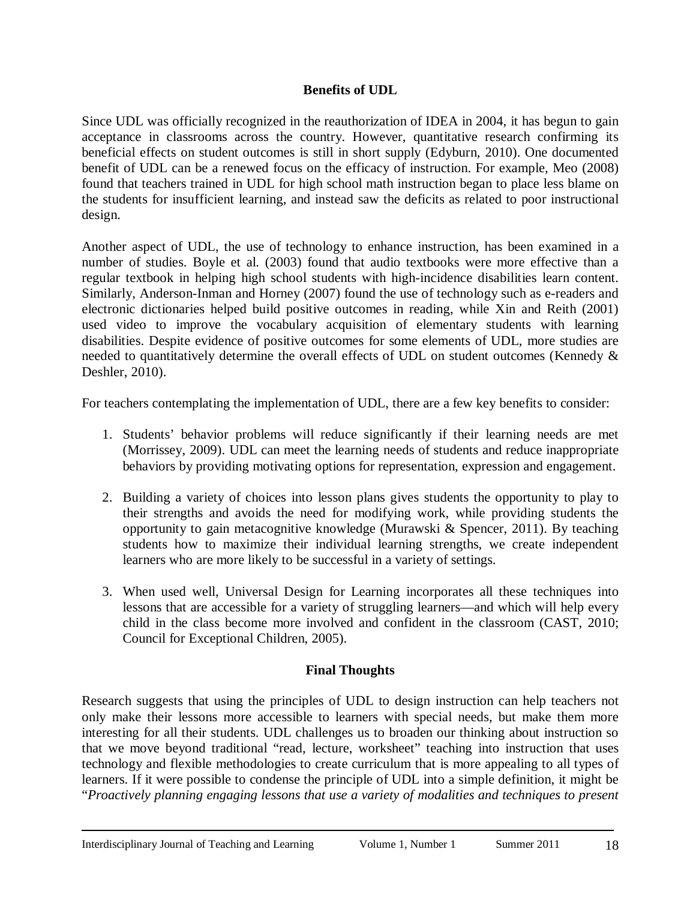### **Benefits of UDL**

Since UDL was officially recognized in the reauthorization of IDEA in 2004, it has begun to gain acceptance in classrooms across the country. However, quantitative research confirming its beneficial effects on student outcomes is still in short supply (Edyburn, 2010). One documented benefit of UDL can be a renewed focus on the efficacy of instruction. For example, Meo (2008) found that teachers trained in UDL for high school math instruction began to place less blame on the students for insufficient learning, and instead saw the deficits as related to poor instructional design.

Another aspect of UDL, the use of technology to enhance instruction, has been examined in a number of studies. Boyle et al. (2003) found that audio textbooks were more effective than a regular textbook in helping high school students with high-incidence disabilities learn content. Similarly, Anderson-Inman and Horney (2007) found the use of technology such as e-readers and electronic dictionaries helped build positive outcomes in reading, while Xin and Reith (2001) used video to improve the vocabulary acquisition of elementary students with learning disabilities. Despite evidence of positive outcomes for some elements of UDL, more studies are needed to quantitatively determine the overall effects of UDL on student outcomes (Kennedy & Deshler, 2010).

For teachers contemplating the implementation of UDL, there are a few key benefits to consider:

- 1. Students' behavior problems will reduce significantly if their learning needs are met (Morrissey, 2009). UDL can meet the learning needs of students and reduce inappropriate behaviors by providing motivating options for representation, expression and engagement.
- 2. Building a variety of choices into lesson plans gives students the opportunity to play to their strengths and avoids the need for modifying work, while providing students the opportunity to gain metacognitive knowledge (Murawski & Spencer, 2011). By teaching students how to maximize their individual learning strengths, we create independent learners who are more likely to be successful in a variety of settings.
- 3. When used well, Universal Design for Learning incorporates all these techniques into lessons that are accessible for a variety of struggling learners—and which will help every child in the class become more involved and confident in the classroom (CAST, 2010; Council for Exceptional Children, 2005).

# **Final Thoughts**

Research suggests that using the principles of UDL to design instruction can help teachers not only make their lessons more accessible to learners with special needs, but make them more interesting for all their students. UDL challenges us to broaden our thinking about instruction so that we move beyond traditional "read, lecture, worksheet" teaching into instruction that uses technology and flexible methodologies to create curriculum that is more appealing to all types of learners. If it were possible to condense the principle of UDL into a simple definition, it might be "*Proactively planning engaging lessons that use a variety of modalities and techniques to present*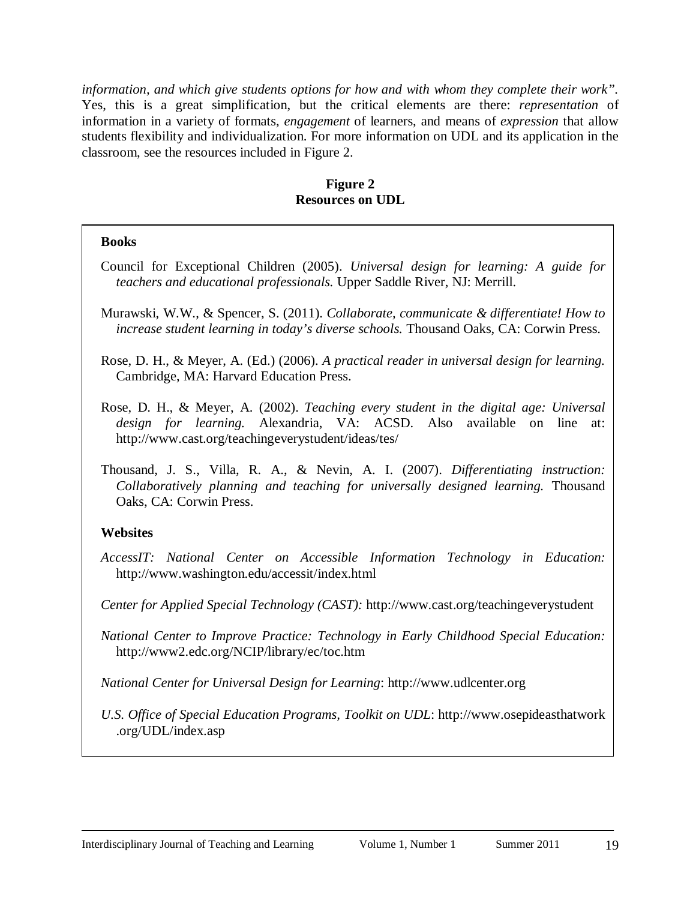*information, and which give students options for how and with whom they complete their work".*  Yes, this is a great simplification, but the critical elements are there: *representation* of information in a variety of formats, *engagement* of learners, and means of *expression* that allow students flexibility and individualization. For more information on UDL and its application in the classroom, see the resources included in Figure 2.

#### **Figure 2 Resources on UDL**

#### **Books**

- Council for Exceptional Children (2005). *Universal design for learning: A guide for teachers and educational professionals.* Upper Saddle River, NJ: Merrill.
- Murawski, W.W., & Spencer, S. (2011). *Collaborate, communicate & differentiate! How to increase student learning in today's diverse schools.* Thousand Oaks, CA: Corwin Press.

Rose, D. H., & Meyer, A. (Ed.) (2006). *A practical reader in universal design for learning.*  Cambridge, MA: Harvard Education Press.

- Rose, D. H., & Meyer, A. (2002). *Teaching every student in the digital age: Universal design for learning.* Alexandria, VA: ACSD. Also available on line at: <http://www.cast.org/teachingeverystudent/ideas/tes/>
- Thousand, J. S., Villa, R. A., & Nevin, A. I. (2007). *Differentiating instruction: Collaboratively planning and teaching for universally designed learning.* Thousand Oaks, CA: Corwin Press.

# **Websites**

*AccessIT: National Center on Accessible Information Technology in Education:*  <http://www.washington.edu/accessit/index.html>

*Center for Applied Special Technology (CAST):* <http://www.cast.org/teachingeverystudent>

*National Center to Improve Practice: Technology in Early Childhood Special Education:*  <http://www2.edc.org/NCIP/library/ec/toc.htm>

*National Center for Universal Design for Learning*: [http://www.udlcenter.org](http://www.udlcenter.org/)

*U.S. Office of Special Education Programs, Toolkit on UDL*: [http://www.osepideasthatwork](http://www.osepideasthatwork.org/UDL/index.asp)  [.org/UDL/index.asp](http://www.osepideasthatwork.org/UDL/index.asp)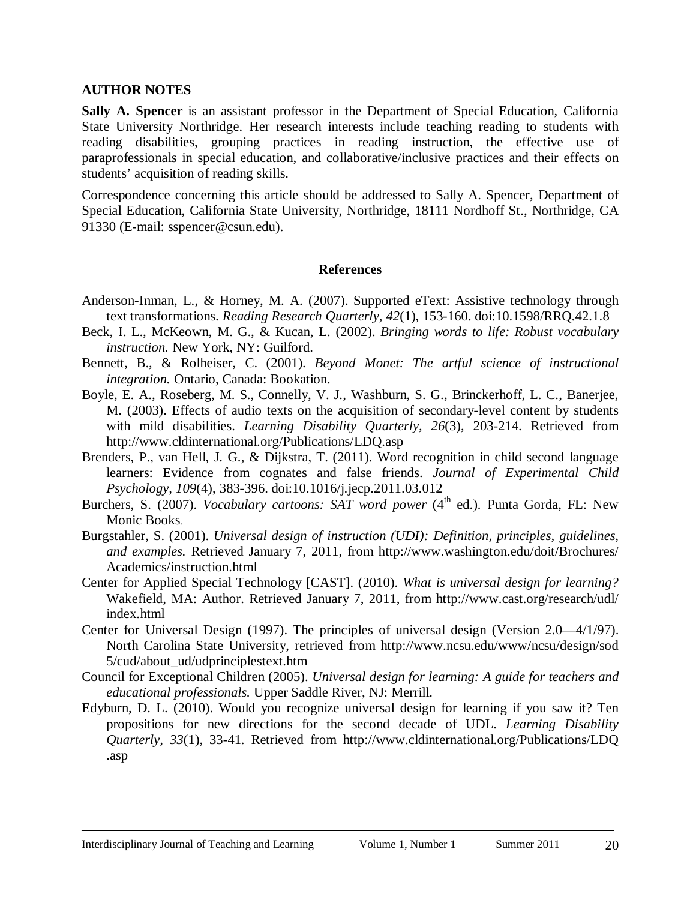#### **AUTHOR NOTES**

**Sally A. Spencer** is an assistant professor in the Department of Special Education, California State University Northridge. Her research interests include teaching reading to students with reading disabilities, grouping practices in reading instruction, the effective use of paraprofessionals in special education, and collaborative/inclusive practices and their effects on students' acquisition of reading skills.

Correspondence concerning this article should be addressed to Sally A. Spencer, Department of Special Education, California State University, Northridge, 18111 Nordhoff St., Northridge, CA 91330 (E-mail: [sspencer@csun.edu\)](mailto:sspencer@csun.edu).

#### **References**

- Anderson-Inman, L., & Horney, M. A. (2007). Supported eText: Assistive technology through text transformations. *Reading Research Quarterly, 42*(1), 153-160. doi:10.1598/RRQ.42.1.8
- Beck, I. L., McKeown, M. G., & Kucan, L. (2002). *Bringing words to life: Robust vocabulary instruction.* New York, NY: Guilford.
- Bennett, B., & Rolheiser, C. (2001). *Beyond Monet: The artful science of instructional integration.* Ontario, Canada: Bookation.
- Boyle, E. A., Roseberg, M. S., Connelly, V. J., Washburn, S. G., Brinckerhoff, L. C., Banerjee, M. (2003). Effects of audio texts on the acquisition of secondary-level content by students with mild disabilities. *Learning Disability Quarterly, 26*(3), 203-214. Retrieved from <http://www.cldinternational.org/Publications/LDQ.asp>
- Brenders, P., van Hell, J. G., & Dijkstra, T. (2011). Word recognition in child second language learners: Evidence from cognates and false friends. *Journal of Experimental Child Psychology, 109*(4), 383-396. doi:10.1016/j.jecp.2011.03.012
- Burchers, S. (2007). *Vocabulary cartoons: SAT word power* (4<sup>th</sup> ed.). Punta Gorda, FL: New Monic Books.
- Burgstahler, S. (2001). *Universal design of instruction (UDI): Definition, principles, guidelines, and examples.* Retrieved January 7, 2011, from [http://www.washington.edu/doit/Brochures/](http://www.washington.edu/doit/Brochures/Academics/instruction.html) Academics/instruction.html
- Center for Applied Special Technology [CAST]. (2010). *What is universal design for learning?*  Wakefield, MA: Author. Retrieved January 7, 2011, from http:/[/www.cast.org/research/udl/](http://www.cast.org/research/udl/index.html) index.html
- Center for Universal Design (1997). The principles of universal design (Version 2.0—4/1/97). North Carolina State University, retrieved from<http://www.ncsu.edu/www/ncsu/design/sod> [5/cud/about\\_ud/udprinciplestext.htm](http://www.ncsu.edu/www/ncsu/design/sod5/cud/about_ud/udprinciplestext.htm)
- Council for Exceptional Children (2005). *Universal design for learning: A guide for teachers and educational professionals.* Upper Saddle River, NJ: Merrill.
- Edyburn, D. L. (2010). Would you recognize universal design for learning if you saw it? Ten propositions for new directions for the second decade of UDL. *Learning Disability Quarterly, 33*(1), 33-41. Retrieved from [http://www.cldinternational.org/Publications/LDQ](http://www.cldinternational.org/Publications/LDQ.asp)  [.asp](http://www.cldinternational.org/Publications/LDQ.asp)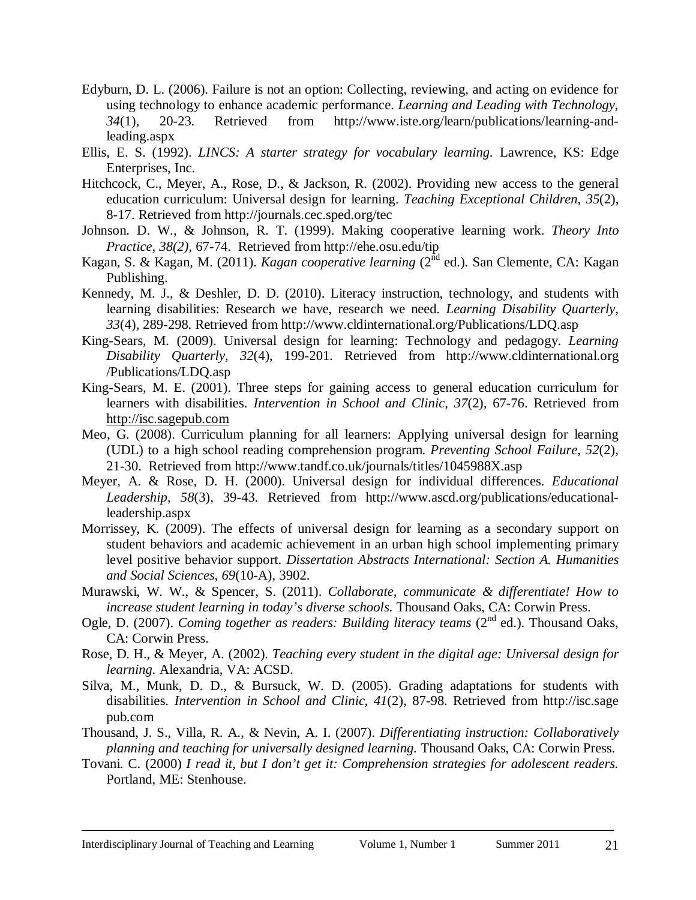- Edyburn, D. L. (2006). Failure is not an option: Collecting, reviewing, and acting on evidence for using technology to enhance academic performance. *Learning and Leading with Technology, 34*(1), 20-23. Retrieved from [http://www.iste.org/learn/publications/learning-and](http://www.iste.org/learn/publications/learning-and-leading.aspx)[leading.aspx](http://www.iste.org/learn/publications/learning-and-leading.aspx)
- Ellis, E. S. (1992). *LINCS: A starter strategy for vocabulary learning.* Lawrence, KS: Edge Enterprises, Inc.
- Hitchcock, C., Meyer, A., Rose, D., & Jackson, R. (2002). Providing new access to the general education curriculum: Universal design for learning. *Teaching Exceptional Children, 35*(2), 8-17. Retrieved from<http://journals.cec.sped.org/tec>
- Johnson. D. W., & Johnson, R. T. (1999). Making cooperative learning work. *Theory Into Practice, 38(2),* 67-74. Retrieved from<http://ehe.osu.edu/tip>
- Kagan, S. & Kagan, M. (2011). *Kagan cooperative learning* (2<sup>nd</sup> ed.). San Clemente, CA: Kagan Publishing.
- Kennedy, M. J., & Deshler, D. D. (2010). Literacy instruction, technology, and students with learning disabilities: Research we have, research we need. *Learning Disability Quarterly, 33*(4)*,* 289-298. Retrieved from<http://www.cldinternational.org/Publications/LDQ.asp>
- King-Sears, M. (2009). Universal design for learning: Technology and pedagogy. *Learning Disability Quarterly, 32*(4), 199-201. Retrieved from [http://www.cldinternational.org](http://www.cldinternational.org/Publications/LDQ.asp)  [/Publications/LDQ.asp](http://www.cldinternational.org/Publications/LDQ.asp)
- King-Sears, M. E. (2001). Three steps for gaining access to general education curriculum for learners with disabilities. *Intervention in School and Clinic, 37*(2)*,* 67-76. Retrieved from [http://isc.sagepub.com](http://isc.sagepub.com/)
- Meo, G. (2008). Curriculum planning for all learners: Applying universal design for learning (UDL) to a high school reading comprehension program. *Preventing School Failure, 52*(2), 21-30. Retrieved from<http://www.tandf.co.uk/journals/titles/1045988X.asp>
- Meyer, A. & Rose, D. H. (2000). Universal design for individual differences. *Educational Leadership, 58*(3), 39-43. Retrieved from [http://www.ascd.org/publications/educational](http://www.ascd.org/publications/educational-leadership.aspx)[leadership.aspx](http://www.ascd.org/publications/educational-leadership.aspx)
- Morrissey, K. (2009). The effects of universal design for learning as a secondary support on student behaviors and academic achievement in an urban high school implementing primary level positive behavior support. *Dissertation Abstracts International: Section A. Humanities and Social Sciences, 69*(10-A)*,* 3902.
- Murawski, W. W., & Spencer, S. (2011). *Collaborate, communicate & differentiate! How to increase student learning in today's diverse schools.* Thousand Oaks, CA: Corwin Press.
- Ogle, D. (2007). *Coming together as readers: Building literacy teams* (2<sup>nd</sup> ed.). Thousand Oaks, CA: Corwin Press.
- Rose, D. H., & Meyer, A. (2002). *Teaching every student in the digital age: Universal design for learning.* Alexandria, VA: ACSD.
- Silva, M., Munk, D. D., & Bursuck, W. D. (2005). Grading adaptations for students with disabilities. *Intervention in School and Clinic, 41*(2), 87-98. Retrieved from [http://isc.sage](http://isc.sagepub.com/)  [pub.com](http://isc.sagepub.com/)
- Thousand, J. S., Villa, R. A., & Nevin, A. I. (2007). *Differentiating instruction: Collaboratively planning and teaching for universally designed learning.* Thousand Oaks, CA: Corwin Press.
- Tovani. C. (2000) *I read it, but I don't get it: Comprehension strategies for adolescent readers.*  Portland, ME: Stenhouse.